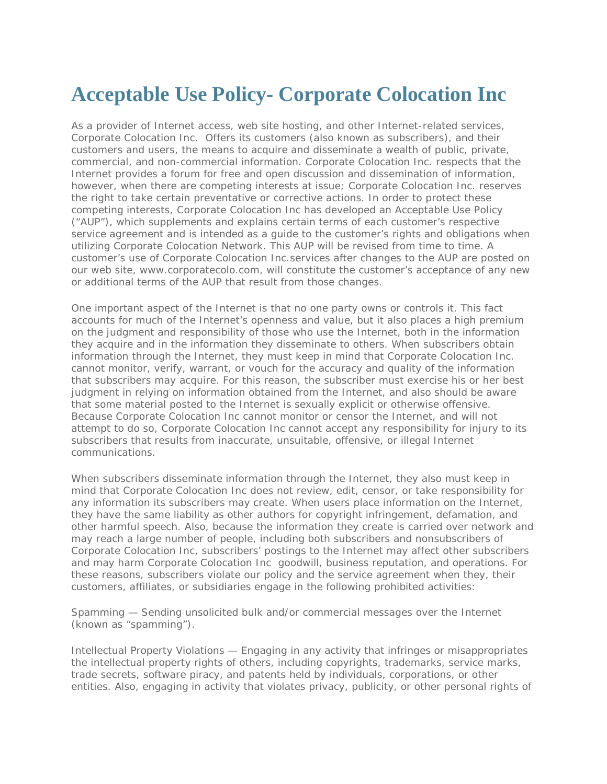## **Acceptable Use Policy- Corporate Colocation Inc**

As a provider of Internet access, web site hosting, and other Internet-related services, Corporate Colocation Inc. Offers its customers (also known as subscribers), and their customers and users, the means to acquire and disseminate a wealth of public, private, commercial, and non-commercial information. Corporate Colocation Inc. respects that the Internet provides a forum for free and open discussion and dissemination of information, however, when there are competing interests at issue; Corporate Colocation Inc. reserves the right to take certain preventative or corrective actions. In order to protect these competing interests, Corporate Colocation Inc has developed an Acceptable Use Policy ("AUP"), which supplements and explains certain terms of each customer's respective service agreement and is intended as a guide to the customer's rights and obligations when utilizing Corporate Colocation Network. This AUP will be revised from time to time. A customer's use of Corporate Colocation Inc.services after changes to the AUP are posted on our web site, www.corporatecolo.com, will constitute the customer's acceptance of any new or additional terms of the AUP that result from those changes.

One important aspect of the Internet is that no one party owns or controls it. This fact accounts for much of the Internet's openness and value, but it also places a high premium on the judgment and responsibility of those who use the Internet, both in the information they acquire and in the information they disseminate to others. When subscribers obtain information through the Internet, they must keep in mind that Corporate Colocation Inc. cannot monitor, verify, warrant, or vouch for the accuracy and quality of the information that subscribers may acquire. For this reason, the subscriber must exercise his or her best judgment in relying on information obtained from the Internet, and also should be aware that some material posted to the Internet is sexually explicit or otherwise offensive. Because Corporate Colocation Inc cannot monitor or censor the Internet, and will not attempt to do so, Corporate Colocation Inc cannot accept any responsibility for injury to its subscribers that results from inaccurate, unsuitable, offensive, or illegal Internet communications.

When subscribers disseminate information through the Internet, they also must keep in mind that Corporate Colocation Inc does not review, edit, censor, or take responsibility for any information its subscribers may create. When users place information on the Internet, they have the same liability as other authors for copyright infringement, defamation, and other harmful speech. Also, because the information they create is carried over network and may reach a large number of people, including both subscribers and nonsubscribers of Corporate Colocation Inc, subscribers' postings to the Internet may affect other subscribers and may harm Corporate Colocation Inc goodwill, business reputation, and operations. For these reasons, subscribers violate our policy and the service agreement when they, their customers, affiliates, or subsidiaries engage in the following prohibited activities:

Spamming — Sending unsolicited bulk and/or commercial messages over the Internet (known as "spamming").

Intellectual Property Violations — Engaging in any activity that infringes or misappropriates the intellectual property rights of others, including copyrights, trademarks, service marks, trade secrets, software piracy, and patents held by individuals, corporations, or other entities. Also, engaging in activity that violates privacy, publicity, or other personal rights of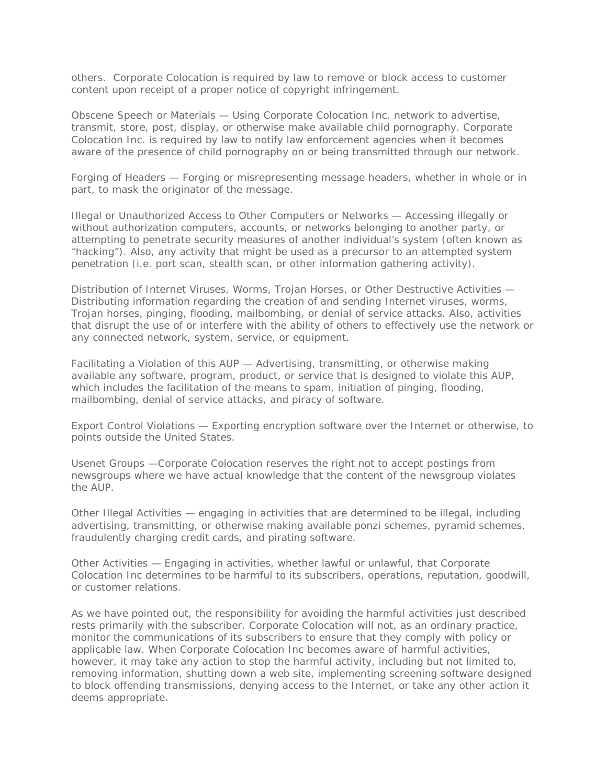others. Corporate Colocation is required by law to remove or block access to customer content upon receipt of a proper notice of copyright infringement.

Obscene Speech or Materials — Using Corporate Colocation Inc. network to advertise, transmit, store, post, display, or otherwise make available child pornography. Corporate Colocation Inc. is required by law to notify law enforcement agencies when it becomes aware of the presence of child pornography on or being transmitted through our network.

Forging of Headers — Forging or misrepresenting message headers, whether in whole or in part, to mask the originator of the message.

Illegal or Unauthorized Access to Other Computers or Networks — Accessing illegally or without authorization computers, accounts, or networks belonging to another party, or attempting to penetrate security measures of another individual's system (often known as "hacking"). Also, any activity that might be used as a precursor to an attempted system penetration (i.e. port scan, stealth scan, or other information gathering activity).

Distribution of Internet Viruses, Worms, Trojan Horses, or Other Destructive Activities — Distributing information regarding the creation of and sending Internet viruses, worms, Trojan horses, pinging, flooding, mailbombing, or denial of service attacks. Also, activities that disrupt the use of or interfere with the ability of others to effectively use the network or any connected network, system, service, or equipment.

Facilitating a Violation of this AUP — Advertising, transmitting, or otherwise making available any software, program, product, or service that is designed to violate this AUP, which includes the facilitation of the means to spam, initiation of pinging, flooding, mailbombing, denial of service attacks, and piracy of software.

Export Control Violations — Exporting encryption software over the Internet or otherwise, to points outside the United States.

Usenet Groups —Corporate Colocation reserves the right not to accept postings from newsgroups where we have actual knowledge that the content of the newsgroup violates the AUP.

Other Illegal Activities — engaging in activities that are determined to be illegal, including advertising, transmitting, or otherwise making available ponzi schemes, pyramid schemes, fraudulently charging credit cards, and pirating software.

Other Activities — Engaging in activities, whether lawful or unlawful, that Corporate Colocation Inc determines to be harmful to its subscribers, operations, reputation, goodwill, or customer relations.

As we have pointed out, the responsibility for avoiding the harmful activities just described rests primarily with the subscriber. Corporate Colocation will not, as an ordinary practice, monitor the communications of its subscribers to ensure that they comply with policy or applicable law. When Corporate Colocation Inc becomes aware of harmful activities, however, it may take any action to stop the harmful activity, including but not limited to, removing information, shutting down a web site, implementing screening software designed to block offending transmissions, denying access to the Internet, or take any other action it deems appropriate.